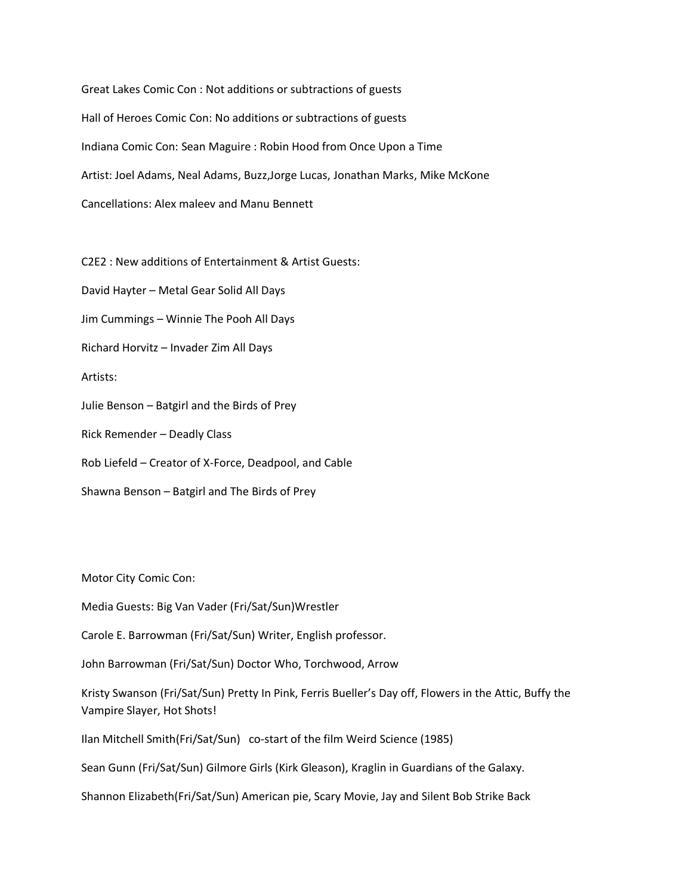Great Lakes Comic Con : Not additions or subtractions of guests Hall of Heroes Comic Con: No additions or subtractions of guests Indiana Comic Con: Sean Maguire : Robin Hood from Once Upon a Time Artist: Joel Adams, Neal Adams, Buzz,Jorge Lucas, Jonathan Marks, Mike McKone Cancellations: Alex maleev and Manu Bennett

C2E2 : New additions of Entertainment & Artist Guests:

David Hayter – Metal Gear Solid All Days

Jim Cummings – Winnie The Pooh All Days

Richard Horvitz – Invader Zim All Days

Artists:

Julie Benson – Batgirl and the Birds of Prey

Rick Remender – Deadly Class

Rob Liefeld – Creator of X-Force, Deadpool, and Cable

Shawna Benson – Batgirl and The Birds of Prey

Motor City Comic Con:

Media Guests: Big Van Vader (Fri/Sat/Sun)Wrestler

Carole E. Barrowman (Fri/Sat/Sun) Writer, English professor.

John Barrowman (Fri/Sat/Sun) Doctor Who, Torchwood, Arrow

Kristy Swanson (Fri/Sat/Sun) Pretty In Pink, Ferris Bueller's Day off, Flowers in the Attic, Buffy the Vampire Slayer, Hot Shots!

Ilan Mitchell Smith(Fri/Sat/Sun) co-start of the film Weird Science (1985)

Sean Gunn (Fri/Sat/Sun) Gilmore Girls (Kirk Gleason), Kraglin in Guardians of the Galaxy.

Shannon Elizabeth(Fri/Sat/Sun) American pie, Scary Movie, Jay and Silent Bob Strike Back